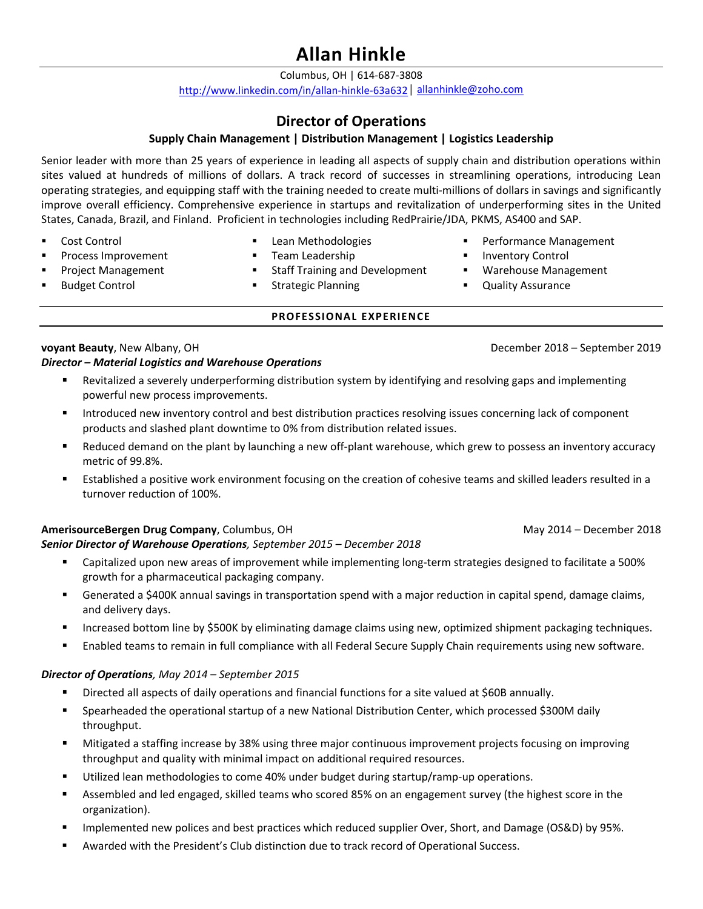# **Allan Hinkle**

Columbus, OH | 614‐687‐3808

http://www.linkedin.com/in/allan‐hinkle‐63a632│ allanhinkle@zoho.com

# **Director of Operations**

## **Supply Chain Management | Distribution Management | Logistics Leadership**

Senior leader with more than 25 years of experience in leading all aspects of supply chain and distribution operations within sites valued at hundreds of millions of dollars. A track record of successes in streamlining operations, introducing Lean operating strategies, and equipping staff with the training needed to create multi‐millions of dollars in savings and significantly improve overall efficiency. Comprehensive experience in startups and revitalization of underperforming sites in the United States, Canada, Brazil, and Finland. Proficient in technologies including RedPrairie/JDA, PKMS, AS400 and SAP.

Cost Control

- **Lean Methodologies Team Leadership**
- **Process Improvement**
- Project Management Budget Control
- **Staff Training and Development**
- Strategic Planning

# **PROFESSIONAL EXPERIENCE**

# **voyant Beauty**, New Albany, OH December 2018 – September 2019

## *Director – Material Logistics and Warehouse Operations*

- Revitalized a severely underperforming distribution system by identifying and resolving gaps and implementing powerful new process improvements.
- Introduced new inventory control and best distribution practices resolving issues concerning lack of component products and slashed plant downtime to 0% from distribution related issues.
- Reduced demand on the plant by launching a new off-plant warehouse, which grew to possess an inventory accuracy metric of 99.8%.
- Established a positive work environment focusing on the creation of cohesive teams and skilled leaders resulted in a turnover reduction of 100%.

## **AmerisourceBergen Drug Company**, Columbus, OH **May 2014 – December 2018** May 2014 – December 2018

#### *Senior Director of Warehouse Operations, September 2015 – December 2018*

- Capitalized upon new areas of improvement while implementing long-term strategies designed to facilitate a 500% growth for a pharmaceutical packaging company.
- Generated a \$400K annual savings in transportation spend with a major reduction in capital spend, damage claims, and delivery days.
- Increased bottom line by \$500K by eliminating damage claims using new, optimized shipment packaging techniques.
- Enabled teams to remain in full compliance with all Federal Secure Supply Chain requirements using new software.

## *Director of Operations, May 2014 – September 2015*

- Directed all aspects of daily operations and financial functions for a site valued at \$60B annually.
- Spearheaded the operational startup of a new National Distribution Center, which processed \$300M daily throughput.
- Mitigated a staffing increase by 38% using three major continuous improvement projects focusing on improving throughput and quality with minimal impact on additional required resources.
- Utilized lean methodologies to come 40% under budget during startup/ramp‐up operations.
- Assembled and led engaged, skilled teams who scored 85% on an engagement survey (the highest score in the organization).
- Implemented new polices and best practices which reduced supplier Over, Short, and Damage (OS&D) by 95%.
- Awarded with the President's Club distinction due to track record of Operational Success.
- **Performance Management**
- **Inventory Control**
- Warehouse Management
- Quality Assurance